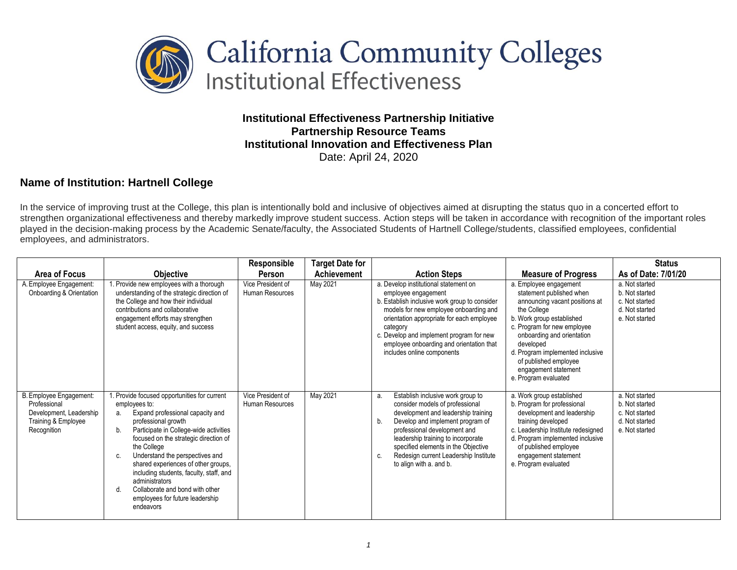

**Institutional Effectiveness Partnership Initiative Partnership Resource Teams Institutional Innovation and Effectiveness Plan** Date: April 24, 2020

## **Name of Institution: Hartnell College**

In the service of improving trust at the College, this plan is intentionally bold and inclusive of objectives aimed at disrupting the status quo in a concerted effort to strengthen organizational effectiveness and thereby markedly improve student success. Action steps will be taken in accordance with recognition of the important roles played in the decision-making process by the Academic Senate/faculty, the Associated Students of Hartnell College/students, classified employees, confidential employees, and administrators.

|                                                                                                          |                                                                                                                                                                                                                                                                                                                                                                                                                                                                  | Responsible                          | <b>Target Date for</b> |                                                                                                                                                                                                                                                                                                                                                    |                                                                                                                                                                                                                                                                                                                         | <b>Status</b>                                                                          |
|----------------------------------------------------------------------------------------------------------|------------------------------------------------------------------------------------------------------------------------------------------------------------------------------------------------------------------------------------------------------------------------------------------------------------------------------------------------------------------------------------------------------------------------------------------------------------------|--------------------------------------|------------------------|----------------------------------------------------------------------------------------------------------------------------------------------------------------------------------------------------------------------------------------------------------------------------------------------------------------------------------------------------|-------------------------------------------------------------------------------------------------------------------------------------------------------------------------------------------------------------------------------------------------------------------------------------------------------------------------|----------------------------------------------------------------------------------------|
| Area of Focus                                                                                            | <b>Objective</b>                                                                                                                                                                                                                                                                                                                                                                                                                                                 | Person                               | <b>Achievement</b>     | <b>Action Steps</b>                                                                                                                                                                                                                                                                                                                                | <b>Measure of Progress</b>                                                                                                                                                                                                                                                                                              | As of Date: 7/01/20                                                                    |
| A. Employee Engagement:<br>Onboarding & Orientation                                                      | 1. Provide new employees with a thorough<br>understanding of the strategic direction of<br>the College and how their individual<br>contributions and collaborative<br>engagement efforts may strengthen<br>student access, equity, and success                                                                                                                                                                                                                   | Vice President of<br>Human Resources | May 2021               | a. Develop institutional statement on<br>employee engagement<br>b. Establish inclusive work group to consider<br>models for new employee onboarding and<br>orientation appropriate for each employee<br>category<br>c. Develop and implement program for new<br>employee onboarding and orientation that<br>includes online components             | a. Employee engagement<br>statement published when<br>announcing vacant positions at<br>the College<br>b. Work group established<br>c. Program for new employee<br>onboarding and orientation<br>developed<br>d. Program implemented inclusive<br>of published employee<br>engagement statement<br>e. Program evaluated | a. Not started<br>b. Not started<br>c. Not started<br>d. Not started<br>e. Not started |
| B. Employee Engagement:<br>Professional<br>Development, Leadership<br>Training & Employee<br>Recognition | 1. Provide focused opportunities for current<br>employees to:<br>Expand professional capacity and<br>а.<br>professional growth<br>Participate in College-wide activities<br>b.<br>focused on the strategic direction of<br>the College<br>Understand the perspectives and<br>shared experiences of other groups,<br>including students, faculty, staff, and<br>administrators<br>Collaborate and bond with other<br>employees for future leadership<br>endeavors | Vice President of<br>Human Resources | May 2021               | Establish inclusive work group to<br>a.<br>consider models of professional<br>development and leadership training<br>Develop and implement program of<br>b.<br>professional development and<br>leadership training to incorporate<br>specified elements in the Objective<br>Redesign current Leadership Institute<br>C.<br>to align with a. and b. | a. Work group established<br>b. Program for professional<br>development and leadership<br>training developed<br>c. Leadership Institute redesigned<br>d. Program implemented inclusive<br>of published employee<br>engagement statement<br>e. Program evaluated                                                         | a. Not started<br>b. Not started<br>c. Not started<br>d. Not started<br>e. Not started |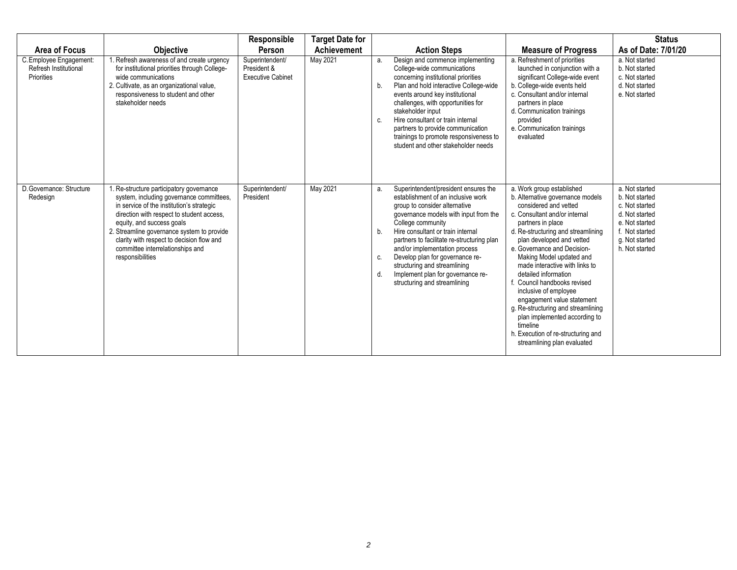| <b>Area of Focus</b><br>C. Employee Engagement:<br>Refresh Institutional<br><b>Priorities</b> | <b>Objective</b><br>Refresh awareness of and create urgency<br>for institutional priorities through College-<br>wide communications<br>2. Cultivate, as an organizational value,<br>responsiveness to student and other<br>stakeholder needs                                                                                                                | Responsible<br>Person<br>Superintendent/<br>President &<br><b>Executive Cabinet</b> | <b>Target Date for</b><br><b>Achievement</b><br>May 2021 | a.<br>b.<br>C.       | <b>Action Steps</b><br>Design and commence implementing<br>College-wide communications<br>concerning institutional priorities<br>Plan and hold interactive College-wide<br>events around key institutional<br>challenges, with opportunities for<br>stakeholder input<br>Hire consultant or train internal<br>partners to provide communication<br>trainings to promote responsiveness to<br>student and other stakeholder needs      | <b>Measure of Progress</b><br>a. Refreshment of priorities<br>launched in conjunction with a<br>significant College-wide event<br>b. College-wide events held<br>c. Consultant and/or internal<br>partners in place<br>d. Communication trainings<br>provided<br>e. Communication trainings<br>evaluated                                                                                                                                                                                                                                                                         | <b>Status</b><br>As of Date: 7/01/20<br>a. Not started<br>b. Not started<br>c. Not started<br>d. Not started<br>e. Not started               |
|-----------------------------------------------------------------------------------------------|-------------------------------------------------------------------------------------------------------------------------------------------------------------------------------------------------------------------------------------------------------------------------------------------------------------------------------------------------------------|-------------------------------------------------------------------------------------|----------------------------------------------------------|----------------------|---------------------------------------------------------------------------------------------------------------------------------------------------------------------------------------------------------------------------------------------------------------------------------------------------------------------------------------------------------------------------------------------------------------------------------------|----------------------------------------------------------------------------------------------------------------------------------------------------------------------------------------------------------------------------------------------------------------------------------------------------------------------------------------------------------------------------------------------------------------------------------------------------------------------------------------------------------------------------------------------------------------------------------|----------------------------------------------------------------------------------------------------------------------------------------------|
| D. Governance: Structure<br>Redesign                                                          | Re-structure participatory governance<br>system, including governance committees,<br>in service of the institution's strategic<br>direction with respect to student access.<br>equity, and success goals<br>2. Streamline governance system to provide<br>clarity with respect to decision flow and<br>committee interrelationships and<br>responsibilities | Superintendent/<br>President                                                        | May 2021                                                 | a.<br>b.<br>C.<br>d. | Superintendent/president ensures the<br>establishment of an inclusive work<br>group to consider alternative<br>governance models with input from the<br>College community<br>Hire consultant or train internal<br>partners to facilitate re-structuring plan<br>and/or implementation process<br>Develop plan for governance re-<br>structuring and streamlining<br>Implement plan for governance re-<br>structuring and streamlining | a. Work group established<br>b. Alternative governance models<br>considered and vetted<br>c. Consultant and/or internal<br>partners in place<br>d. Re-structuring and streamlining<br>plan developed and vetted<br>e. Governance and Decision-<br>Making Model updated and<br>made interactive with links to<br>detailed information<br>Council handbooks revised<br>inclusive of employee<br>engagement value statement<br>g. Re-structuring and streamlining<br>plan implemented according to<br>timeline<br>h. Execution of re-structuring and<br>streamlining plan evaluated | a. Not started<br>b. Not started<br>c. Not started<br>d. Not started<br>e. Not started<br>f. Not started<br>g. Not started<br>h. Not started |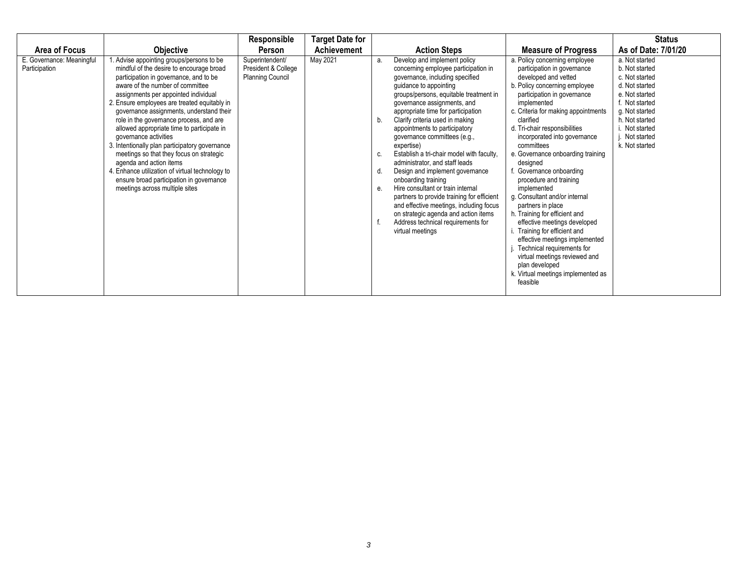|                                            |                                                                                                                                                                                                                                                                                                                                                                                                                                                                                                                                                                                                                                                                                  | Responsible                                                       | <b>Target Date for</b> |                            |                                                                                                                                                                                                                                                                                                                                                                                                                                                                                                                                                                                                                                                                                                                                             |                                                                                                                                                                                                                                                                                                                                                                                                                                                                                                                                                                                                                                                                                                                                                     | <b>Status</b>                                                                                                                                                                                   |
|--------------------------------------------|----------------------------------------------------------------------------------------------------------------------------------------------------------------------------------------------------------------------------------------------------------------------------------------------------------------------------------------------------------------------------------------------------------------------------------------------------------------------------------------------------------------------------------------------------------------------------------------------------------------------------------------------------------------------------------|-------------------------------------------------------------------|------------------------|----------------------------|---------------------------------------------------------------------------------------------------------------------------------------------------------------------------------------------------------------------------------------------------------------------------------------------------------------------------------------------------------------------------------------------------------------------------------------------------------------------------------------------------------------------------------------------------------------------------------------------------------------------------------------------------------------------------------------------------------------------------------------------|-----------------------------------------------------------------------------------------------------------------------------------------------------------------------------------------------------------------------------------------------------------------------------------------------------------------------------------------------------------------------------------------------------------------------------------------------------------------------------------------------------------------------------------------------------------------------------------------------------------------------------------------------------------------------------------------------------------------------------------------------------|-------------------------------------------------------------------------------------------------------------------------------------------------------------------------------------------------|
| Area of Focus                              | <b>Objective</b>                                                                                                                                                                                                                                                                                                                                                                                                                                                                                                                                                                                                                                                                 | Person                                                            | Achievement            |                            | <b>Action Steps</b>                                                                                                                                                                                                                                                                                                                                                                                                                                                                                                                                                                                                                                                                                                                         | <b>Measure of Progress</b>                                                                                                                                                                                                                                                                                                                                                                                                                                                                                                                                                                                                                                                                                                                          | As of Date: 7/01/20                                                                                                                                                                             |
| E. Governance: Meaningful<br>Participation | Advise appointing groups/persons to be<br>mindful of the desire to encourage broad<br>participation in governance, and to be<br>aware of the number of committee<br>assignments per appointed individual<br>2. Ensure employees are treated equitably in<br>governance assignments, understand their<br>role in the governance process, and are<br>allowed appropriate time to participate in<br>governance activities<br>3. Intentionally plan participatory governance<br>meetings so that they focus on strategic<br>agenda and action items<br>4. Enhance utilization of virtual technology to<br>ensure broad participation in governance<br>meetings across multiple sites | Superintendent/<br>President & College<br><b>Planning Council</b> | May 2021               | a.<br>b.<br>C.<br>d.<br>е. | Develop and implement policy<br>concerning employee participation in<br>governance, including specified<br>guidance to appointing<br>groups/persons, equitable treatment in<br>governance assignments, and<br>appropriate time for participation<br>Clarify criteria used in making<br>appointments to participatory<br>governance committees (e.g.,<br>expertise)<br>Establish a tri-chair model with faculty,<br>administrator, and staff leads<br>Design and implement governance<br>onboarding training<br>Hire consultant or train internal<br>partners to provide training for efficient<br>and effective meetings, including focus<br>on strategic agenda and action items<br>Address technical requirements for<br>virtual meetings | a. Policy concerning employee<br>participation in governance<br>developed and vetted<br>b. Policy concerning employee<br>participation in governance<br>implemented<br>c. Criteria for making appointments<br>clarified<br>d. Tri-chair responsibilities<br>incorporated into governance<br>committees<br>e. Governance onboarding training<br>designed<br>Governance onboarding<br>procedure and training<br>implemented<br>g. Consultant and/or internal<br>partners in place<br>h. Training for efficient and<br>effective meetings developed<br>Training for efficient and<br>effective meetings implemented<br>Technical requirements for<br>virtual meetings reviewed and<br>plan developed<br>k. Virtual meetings implemented as<br>feasible | a. Not started<br>b. Not started<br>c. Not started<br>d. Not started<br>e. Not started<br>f. Not started<br>g. Not started<br>h. Not started<br>i. Not started<br>Not started<br>k. Not started |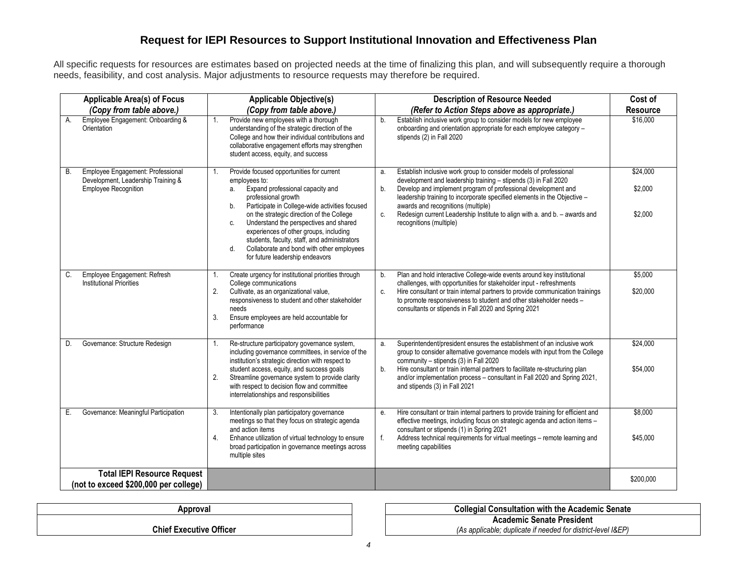## **Request for IEPI Resources to Support Institutional Innovation and Effectiveness Plan**

All specific requests for resources are estimates based on projected needs at the time of finalizing this plan, and will subsequently require a thorough needs, feasibility, and cost analysis. Major adjustments to resource requests may therefore be required.

| <b>Applicable Area(s) of Focus</b><br><b>Applicable Objective(s)</b>                                         |                                                                                                                                                                                                                                                                                                                                   | <b>Description of Resource Needed</b>                                                                                                                                                                                                                                                                                        | Cost of             |
|--------------------------------------------------------------------------------------------------------------|-----------------------------------------------------------------------------------------------------------------------------------------------------------------------------------------------------------------------------------------------------------------------------------------------------------------------------------|------------------------------------------------------------------------------------------------------------------------------------------------------------------------------------------------------------------------------------------------------------------------------------------------------------------------------|---------------------|
| (Copy from table above.)                                                                                     | (Copy from table above.)                                                                                                                                                                                                                                                                                                          | (Refer to Action Steps above as appropriate.)                                                                                                                                                                                                                                                                                | Resource            |
| Employee Engagement: Onboarding &<br>A.<br>Orientation                                                       | Provide new employees with a thorough<br>1.<br>understanding of the strategic direction of the<br>College and how their individual contributions and<br>collaborative engagement efforts may strengthen<br>student access, equity, and success                                                                                    | Establish inclusive work group to consider models for new employee<br>b.<br>onboarding and orientation appropriate for each employee category -<br>stipends (2) in Fall 2020                                                                                                                                                 | \$16,000            |
| Employee Engagement: Professional<br>В.<br>Development, Leadership Training &<br><b>Employee Recognition</b> | Provide focused opportunities for current<br>employees to:<br>Expand professional capacity and<br>a.<br>professional growth                                                                                                                                                                                                       | Establish inclusive work group to consider models of professional<br>a.<br>development and leadership training - stipends (3) in Fall 2020<br>Develop and implement program of professional development and<br>b.<br>leadership training to incorporate specified elements in the Objective -                                | \$24,000<br>\$2,000 |
|                                                                                                              | Participate in College-wide activities focused<br>b.<br>on the strategic direction of the College<br>Understand the perspectives and shared<br>C.<br>experiences of other groups, including<br>students, faculty, staff, and administrators<br>Collaborate and bond with other employees<br>d.<br>for future leadership endeavors | awards and recognitions (multiple)<br>Redesign current Leadership Institute to align with a. and b. - awards and<br>c.<br>recognitions (multiple)                                                                                                                                                                            | \$2,000             |
| Employee Engagement: Refresh<br>C.                                                                           | Create urgency for institutional priorities through<br>1.                                                                                                                                                                                                                                                                         | Plan and hold interactive College-wide events around key institutional<br>b.                                                                                                                                                                                                                                                 | \$5,000             |
| <b>Institutional Priorities</b>                                                                              | College communications<br>2.<br>Cultivate, as an organizational value,<br>responsiveness to student and other stakeholder<br>needs<br>3.<br>Ensure employees are held accountable for<br>performance                                                                                                                              | challenges, with opportunities for stakeholder input - refreshments<br>Hire consultant or train internal partners to provide communication trainings<br>C.<br>to promote responsiveness to student and other stakeholder needs -<br>consultants or stipends in Fall 2020 and Spring 2021                                     | \$20,000            |
| Governance: Structure Redesign<br>D.                                                                         | Re-structure participatory governance system,<br>1.<br>including governance committees, in service of the<br>institution's strategic direction with respect to                                                                                                                                                                    | Superintendent/president ensures the establishment of an inclusive work<br>a.<br>group to consider alternative governance models with input from the College<br>community - stipends (3) in Fall 2020                                                                                                                        | \$24,000            |
|                                                                                                              | student access, equity, and success goals<br>Streamline governance system to provide clarity<br>2.<br>with respect to decision flow and committee<br>interrelationships and responsibilities                                                                                                                                      | Hire consultant or train internal partners to facilitate re-structuring plan<br>b.<br>and/or implementation process - consultant in Fall 2020 and Spring 2021,<br>and stipends (3) in Fall 2021                                                                                                                              | \$54,000            |
| Governance: Meaningful Participation<br>Е.                                                                   | Intentionally plan participatory governance<br>3.<br>meetings so that they focus on strategic agenda<br>and action items<br>4.<br>Enhance utilization of virtual technology to ensure<br>broad participation in governance meetings across<br>multiple sites                                                                      | Hire consultant or train internal partners to provide training for efficient and<br>е.<br>effective meetings, including focus on strategic agenda and action items -<br>consultant or stipends (1) in Spring 2021<br>f.<br>Address technical requirements for virtual meetings - remote learning and<br>meeting capabilities | \$8,000<br>\$45,000 |
| <b>Total IEPI Resource Request</b><br>(not to exceed \$200,000 per college)                                  |                                                                                                                                                                                                                                                                                                                                   |                                                                                                                                                                                                                                                                                                                              | \$200,000           |
|                                                                                                              |                                                                                                                                                                                                                                                                                                                                   |                                                                                                                                                                                                                                                                                                                              |                     |

**Chief Executive Officer**

**Approval Collegial Consultation with the Academic Senate Academic Senate President** *(As applicable; duplicate if needed for district-level I&EP)*